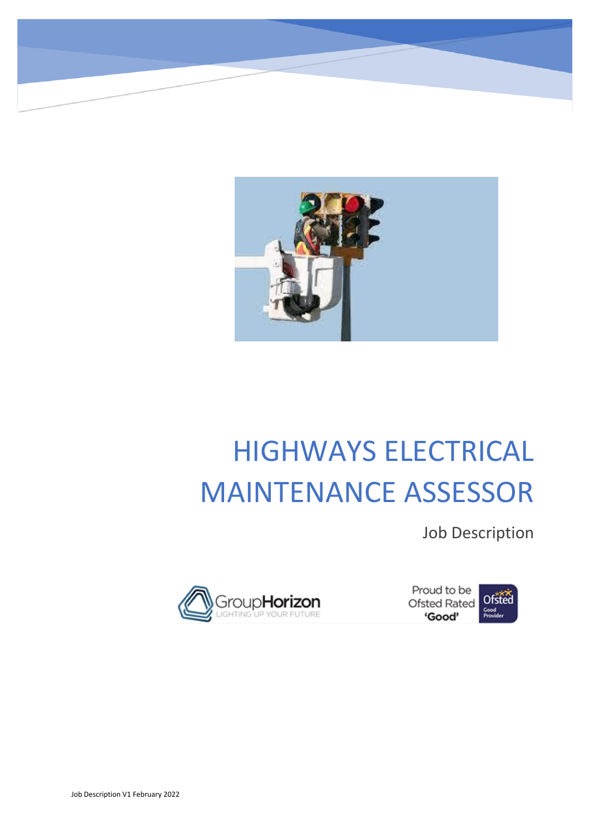

# HIGHWAYS ELECTRICAL MAINTENANCE ASSESSOR

Job Description



Proud to be Proud to be<br>Ofsted Rated Ofsted 'Good'

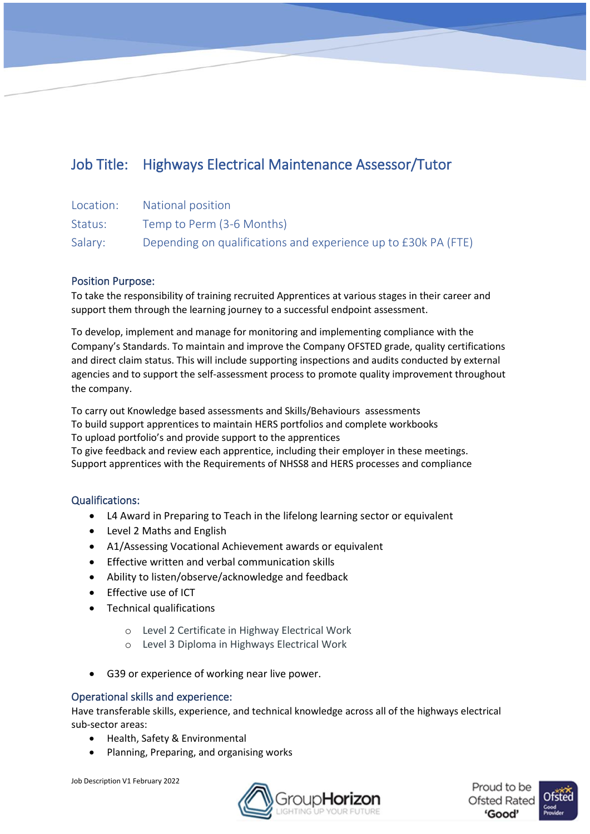# Job Title: Highways Electrical Maintenance Assessor/Tutor

| Location: | National position                                              |
|-----------|----------------------------------------------------------------|
| Status:   | Temp to Perm (3-6 Months)                                      |
| Salary:   | Depending on qualifications and experience up to £30k PA (FTE) |

# Position Purpose:

To take the responsibility of training recruited Apprentices at various stages in their career and support them through the learning journey to a successful endpoint assessment.

To develop, implement and manage for monitoring and implementing compliance with the Company's Standards. To maintain and improve the Company OFSTED grade, quality certifications and direct claim status. This will include supporting inspections and audits conducted by external agencies and to support the self-assessment process to promote quality improvement throughout the company.

To carry out Knowledge based assessments and Skills/Behaviours assessments To build support apprentices to maintain HERS portfolios and complete workbooks To upload portfolio's and provide support to the apprentices To give feedback and review each apprentice, including their employer in these meetings. Support apprentices with the Requirements of NHSS8 and HERS processes and compliance

# Qualifications:

- L4 Award in Preparing to Teach in the lifelong learning sector or equivalent
- Level 2 Maths and English
- A1/Assessing Vocational Achievement awards or equivalent
- Effective written and verbal communication skills
- Ability to listen/observe/acknowledge and feedback
- Effective use of ICT
- Technical qualifications
	- o Level 2 Certificate in Highway Electrical Work
	- o Level 3 Diploma in Highways Electrical Work
- G39 or experience of working near live power.

# Operational skills and experience:

Have transferable skills, experience, and technical knowledge across all of the highways electrical sub-sector areas:

- Health, Safety & Environmental
- Planning, Preparing, and organising works



Proud to be **Ofsted Rated** 'Good'

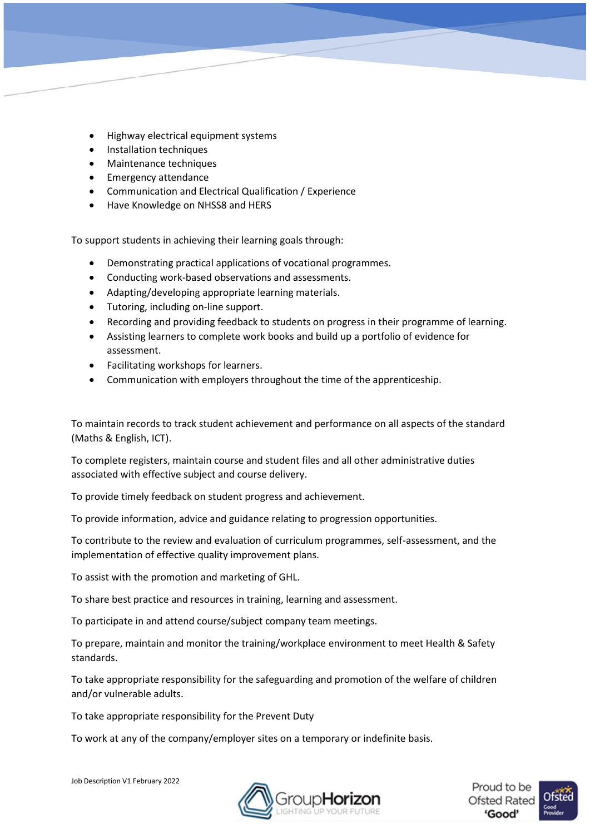- Highway electrical equipment systems
- Installation techniques
- Maintenance techniques
- Emergency attendance
- Communication and Electrical Qualification / Experience
- Have Knowledge on NHSS8 and HERS

To support students in achieving their learning goals through:

- Demonstrating practical applications of vocational programmes.
- Conducting work-based observations and assessments.
- Adapting/developing appropriate learning materials.
- Tutoring, including on-line support.
- Recording and providing feedback to students on progress in their programme of learning.
- Assisting learners to complete work books and build up a portfolio of evidence for assessment.
- Facilitating workshops for learners.
- Communication with employers throughout the time of the apprenticeship.

To maintain records to track student achievement and performance on all aspects of the standard (Maths & English, ICT).

To complete registers, maintain course and student files and all other administrative duties associated with effective subject and course delivery.

To provide timely feedback on student progress and achievement.

To provide information, advice and guidance relating to progression opportunities.

To contribute to the review and evaluation of curriculum programmes, self-assessment, and the implementation of effective quality improvement plans.

To assist with the promotion and marketing of GHL.

To share best practice and resources in training, learning and assessment.

To participate in and attend course/subject company team meetings.

To prepare, maintain and monitor the training/workplace environment to meet Health & Safety standards.

To take appropriate responsibility for the safeguarding and promotion of the welfare of children and/or vulnerable adults.

To take appropriate responsibility for the Prevent Duty

To work at any of the company/employer sites on a temporary or indefinite basis.



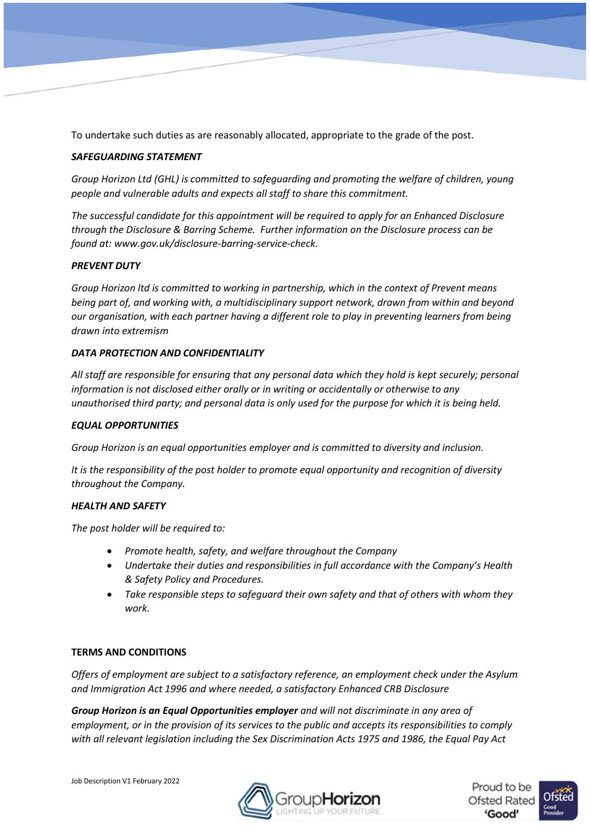To undertake such duties as are reasonably allocated, appropriate to the grade of the post.

# *SAFEGUARDING STATEMENT*

*Group Horizon Ltd (GHL) is committed to safeguarding and promoting the welfare of children, young people and vulnerable adults and expects all staff to share this commitment.* 

*The successful candidate for this appointment will be required to apply for an Enhanced Disclosure through the Disclosure & Barring Scheme. Further information on the Disclosure process can be found at: www.gov.uk/disclosure-barring-service-check.* 

#### *PREVENT DUTY*

*Group Horizon ltd is committed to working in partnership, which in the context of Prevent means being part of, and working with, a multidisciplinary support network, drawn from within and beyond our organisation, with each partner having a different role to play in preventing learners from being drawn into extremism*

#### *DATA PROTECTION AND CONFIDENTIALITY*

*All staff are responsible for ensuring that any personal data which they hold is kept securely; personal information is not disclosed either orally or in writing or accidentally or otherwise to any unauthorised third party; and personal data is only used for the purpose for which it is being held.* 

#### *EQUAL OPPORTUNITIES*

*Group Horizon is an equal opportunities employer and is committed to diversity and inclusion.*

*It is the responsibility of the post holder to promote equal opportunity and recognition of diversity throughout the Company.* 

# *HEALTH AND SAFETY*

*The post holder will be required to:* 

- *Promote health, safety, and welfare throughout the Company*
- *Undertake their duties and responsibilities in full accordance with the Company's Health & Safety Policy and Procedures.*
- *Take responsible steps to safeguard their own safety and that of others with whom they work.*

# **TERMS AND CONDITIONS**

*Offers of employment are subject to a satisfactory reference, an employment check under the Asylum and Immigration Act 1996 and where needed, a satisfactory Enhanced CRB Disclosure*

*Group Horizon is an Equal Opportunities employer and will not discriminate in any area of employment, or in the provision of its services to the public and accepts its responsibilities to comply with all relevant legislation including the Sex Discrimination Acts 1975 and 1986, the Equal Pay Act* 



Proud to be **Ofsted Rated** Good